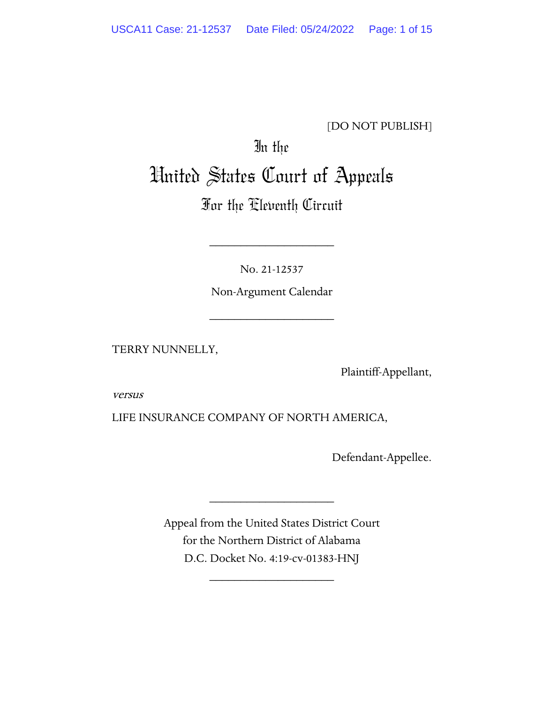#### [DO NOT PUBLISH]

# In the United States Court of Appeals

# For the Eleventh Circuit

No. 21-12537

\_\_\_\_\_\_\_\_\_\_\_\_\_\_\_\_\_\_\_\_

Non-Argument Calendar

\_\_\_\_\_\_\_\_\_\_\_\_\_\_\_\_\_\_\_\_

TERRY NUNNELLY,

Plaintiff-Appellant,

versus

LIFE INSURANCE COMPANY OF NORTH AMERICA,

Defendant-Appellee.

Appeal from the United States District Court for the Northern District of Alabama D.C. Docket No. 4:19-cv-01383-HNJ

\_\_\_\_\_\_\_\_\_\_\_\_\_\_\_\_\_\_\_\_

\_\_\_\_\_\_\_\_\_\_\_\_\_\_\_\_\_\_\_\_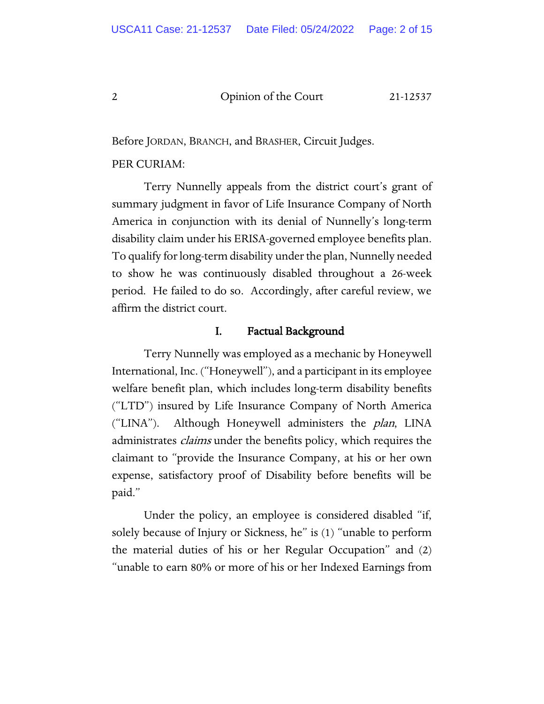Before JORDAN, BRANCH, and BRASHER, Circuit Judges.

#### PER CURIAM:

Terry Nunnelly appeals from the district court's grant of summary judgment in favor of Life Insurance Company of North America in conjunction with its denial of Nunnelly's long-term disability claim under his ERISA-governed employee benefits plan. To qualify for long-term disability under the plan, Nunnelly needed to show he was continuously disabled throughout a 26-week period. He failed to do so. Accordingly, after careful review, we affirm the district court.

#### I. Factual Background

Terry Nunnelly was employed as a mechanic by Honeywell International, Inc. ("Honeywell"), and a participant in its employee welfare benefit plan, which includes long-term disability benefits ("LTD") insured by Life Insurance Company of North America ("LINA"). Although Honeywell administers the *plan*, LINA administrates *claims* under the benefits policy, which requires the claimant to "provide the Insurance Company, at his or her own expense, satisfactory proof of Disability before benefits will be paid."

Under the policy, an employee is considered disabled "if, solely because of Injury or Sickness, he" is (1) "unable to perform the material duties of his or her Regular Occupation" and (2) "unable to earn 80% or more of his or her Indexed Earnings from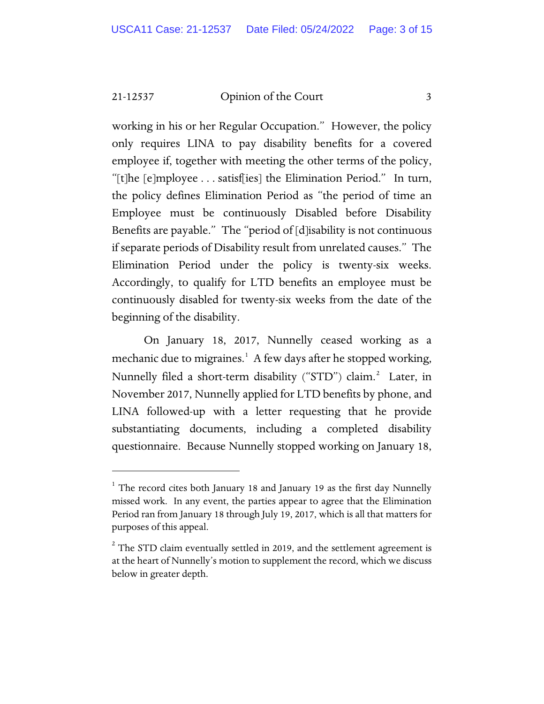working in his or her Regular Occupation." However, the policy only requires LINA to pay disability benefits for a covered employee if, together with meeting the other terms of the policy, "[t]he [e]mployee . . . satisf[ies] the Elimination Period." In turn, the policy defines Elimination Period as "the period of time an Employee must be continuously Disabled before Disability Benefits are payable." The "period of [d]isability is not continuous if separate periods of Disability result from unrelated causes." The Elimination Period under the policy is twenty-six weeks. Accordingly, to qualify for LTD benefits an employee must be continuously disabled for twenty-six weeks from the date of the beginning of the disability.

On January 18, 2017, Nunnelly ceased working as a mechanic due to migraines.<sup>[1](#page-2-0)</sup> A few days after he stopped working, Nunnelly filed a short-term disability ("STD") claim.<sup>[2](#page-2-1)</sup> Later, in November 2017, Nunnelly applied for LTD benefits by phone, and LINA followed-up with a letter requesting that he provide substantiating documents, including a completed disability questionnaire. Because Nunnelly stopped working on January 18,

<span id="page-2-0"></span> $1$  The record cites both January 18 and January 19 as the first day Nunnelly missed work. In any event, the parties appear to agree that the Elimination Period ran from January 18 through July 19, 2017, which is all that matters for purposes of this appeal.

<span id="page-2-1"></span> $2$  The STD claim eventually settled in 2019, and the settlement agreement is at the heart of Nunnelly's motion to supplement the record, which we discuss below in greater depth.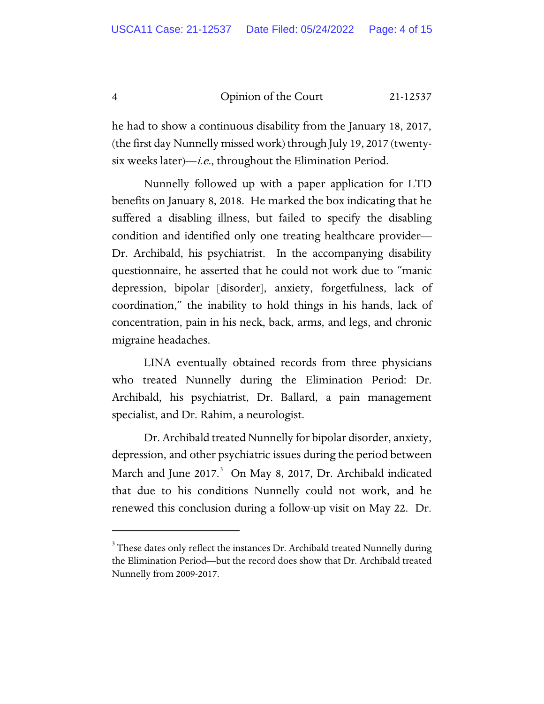he had to show a continuous disability from the January 18, 2017, (the first day Nunnelly missed work) through July 19, 2017 (twentysix weeks later)—*i.e.*, throughout the Elimination Period.

Nunnelly followed up with a paper application for LTD benefits on January 8, 2018. He marked the box indicating that he suffered a disabling illness, but failed to specify the disabling condition and identified only one treating healthcare provider— Dr. Archibald, his psychiatrist. In the accompanying disability questionnaire, he asserted that he could not work due to "manic depression, bipolar [disorder], anxiety, forgetfulness, lack of coordination," the inability to hold things in his hands, lack of concentration, pain in his neck, back, arms, and legs, and chronic migraine headaches.

LINA eventually obtained records from three physicians who treated Nunnelly during the Elimination Period: Dr. Archibald, his psychiatrist, Dr. Ballard, a pain management specialist, and Dr. Rahim, a neurologist.

Dr. Archibald treated Nunnelly for bipolar disorder, anxiety, depression, and other psychiatric issues during the period between March and June 2017.<sup>[3](#page-3-0)</sup> On May 8, 2017, Dr. Archibald indicated that due to his conditions Nunnelly could not work, and he renewed this conclusion during a follow-up visit on May 22. Dr.

<span id="page-3-0"></span> $^3$  These dates only reflect the instances Dr. Archibald treated Nunnelly during the Elimination Period—but the record does show that Dr. Archibald treated Nunnelly from 2009-2017.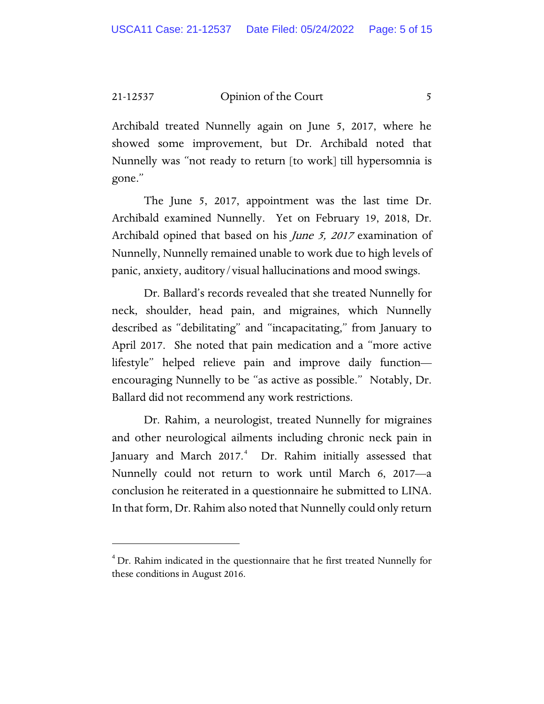Archibald treated Nunnelly again on June 5, 2017, where he showed some improvement, but Dr. Archibald noted that Nunnelly was "not ready to return [to work] till hypersomnia is gone."

The June 5, 2017, appointment was the last time Dr. Archibald examined Nunnelly. Yet on February 19, 2018, Dr. Archibald opined that based on his *June 5, 2017* examination of Nunnelly, Nunnelly remained unable to work due to high levels of panic, anxiety, auditory/visual hallucinations and mood swings.

Dr. Ballard's records revealed that she treated Nunnelly for neck, shoulder, head pain, and migraines, which Nunnelly described as "debilitating" and "incapacitating," from January to April 2017. She noted that pain medication and a "more active lifestyle" helped relieve pain and improve daily function encouraging Nunnelly to be "as active as possible." Notably, Dr. Ballard did not recommend any work restrictions.

Dr. Rahim, a neurologist, treated Nunnelly for migraines and other neurological ailments including chronic neck pain in January and March 2017.<sup>[4](#page-4-0)</sup> Dr. Rahim initially assessed that Nunnelly could not return to work until March 6, 2017—a conclusion he reiterated in a questionnaire he submitted to LINA. In that form, Dr. Rahim also noted that Nunnelly could only return

<span id="page-4-0"></span> $4$  Dr. Rahim indicated in the questionnaire that he first treated Nunnelly for these conditions in August 2016.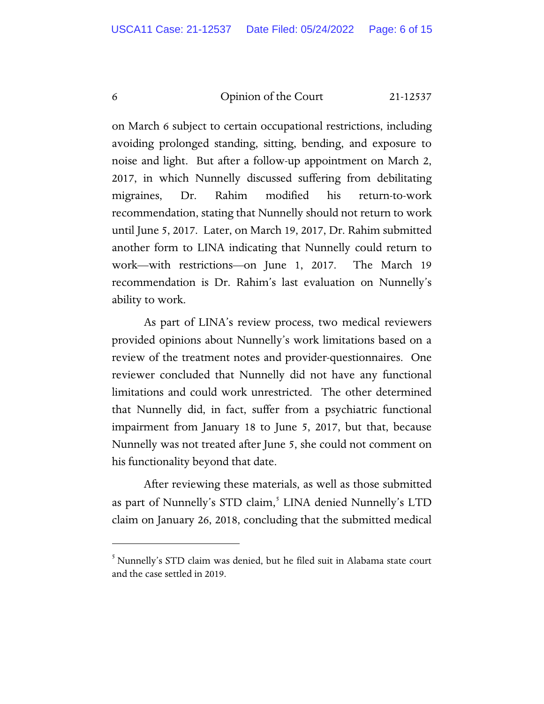on March 6 subject to certain occupational restrictions, including avoiding prolonged standing, sitting, bending, and exposure to noise and light. But after a follow-up appointment on March 2, 2017, in which Nunnelly discussed suffering from debilitating migraines, Dr. Rahim modified his return-to-work recommendation, stating that Nunnelly should not return to work until June 5, 2017. Later, on March 19, 2017, Dr. Rahim submitted another form to LINA indicating that Nunnelly could return to work—with restrictions—on June 1, 2017. The March 19 recommendation is Dr. Rahim's last evaluation on Nunnelly's ability to work.

As part of LINA's review process, two medical reviewers provided opinions about Nunnelly's work limitations based on a review of the treatment notes and provider-questionnaires. One reviewer concluded that Nunnelly did not have any functional limitations and could work unrestricted. The other determined that Nunnelly did, in fact, suffer from a psychiatric functional impairment from January 18 to June 5, 2017, but that, because Nunnelly was not treated after June 5, she could not comment on his functionality beyond that date.

After reviewing these materials, as well as those submitted as part of Nunnelly's STD claim,<sup>[5](#page-5-0)</sup> LINA denied Nunnelly's LTD claim on January 26, 2018, concluding that the submitted medical

<span id="page-5-0"></span><sup>5</sup> Nunnelly's STD claim was denied, but he filed suit in Alabama state court and the case settled in 2019.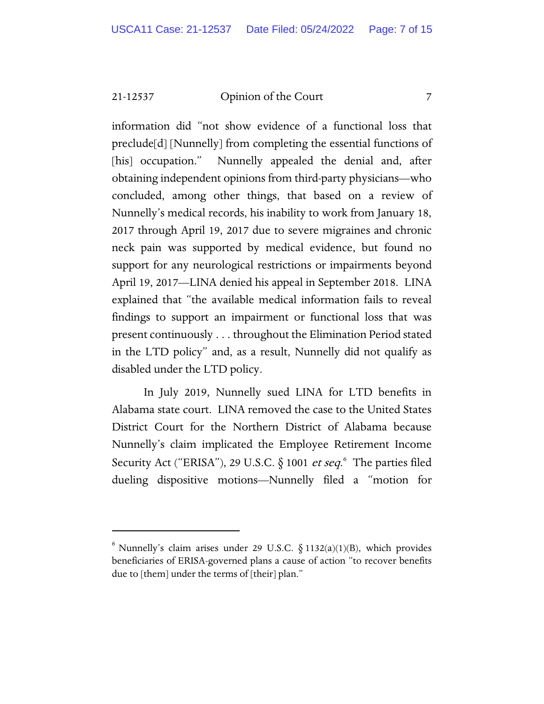information did "not show evidence of a functional loss that preclude[d] [Nunnelly] from completing the essential functions of [his] occupation." Nunnelly appealed the denial and, after obtaining independent opinions from third-party physicians—who concluded, among other things, that based on a review of Nunnelly's medical records, his inability to work from January 18, 2017 through April 19, 2017 due to severe migraines and chronic neck pain was supported by medical evidence, but found no support for any neurological restrictions or impairments beyond April 19, 2017—LINA denied his appeal in September 2018. LINA explained that "the available medical information fails to reveal findings to support an impairment or functional loss that was present continuously . . . throughout the Elimination Period stated in the LTD policy" and, as a result, Nunnelly did not qualify as disabled under the LTD policy.

In July 2019, Nunnelly sued LINA for LTD benefits in Alabama state court. LINA removed the case to the United States District Court for the Northern District of Alabama because Nunnelly's claim implicated the Employee Retirement Income Security Act ("ERISA"), 29 U.S.C. § 1001 et seq.<sup>[6](#page-6-0)</sup> The parties filed dueling dispositive motions—Nunnelly filed a "motion for

<span id="page-6-0"></span> $6$  Nunnelly's claim arises under 29 U.S.C.  $\S$  1132(a)(1)(B), which provides beneficiaries of ERISA-governed plans a cause of action "to recover benefits due to [them] under the terms of [their] plan."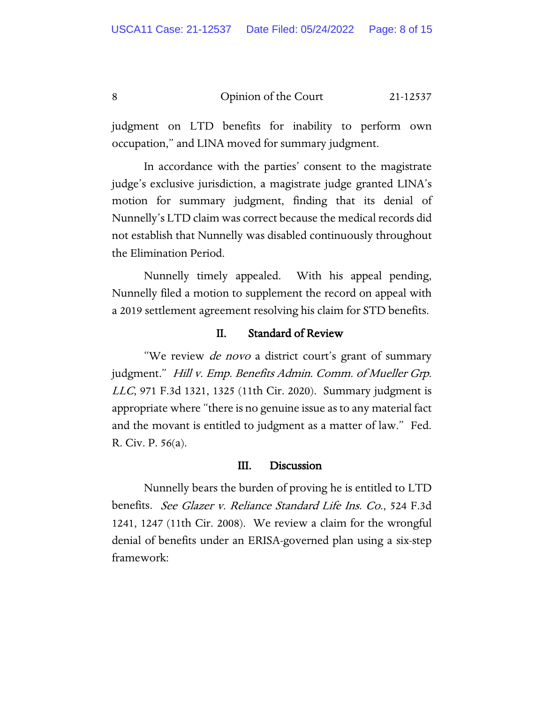judgment on LTD benefits for inability to perform own occupation," and LINA moved for summary judgment.

In accordance with the parties' consent to the magistrate judge's exclusive jurisdiction, a magistrate judge granted LINA's motion for summary judgment, finding that its denial of Nunnelly's LTD claim was correct because the medical records did not establish that Nunnelly was disabled continuously throughout the Elimination Period.

Nunnelly timely appealed. With his appeal pending, Nunnelly filed a motion to supplement the record on appeal with a 2019 settlement agreement resolving his claim for STD benefits.

#### II. Standard of Review

"We review *de novo* a district court's grant of summary judgment." Hill v. Emp. Benefits Admin. Comm. of Mueller Grp. LLC, 971 F.3d 1321, 1325 (11th Cir. 2020). Summary judgment is appropriate where "there is no genuine issue as to any material fact and the movant is entitled to judgment as a matter of law." Fed. R. Civ. P. 56(a).

#### III. Discussion

Nunnelly bears the burden of proving he is entitled to LTD benefits. See Glazer v. Reliance Standard Life Ins. Co., 524 F.3d 1241, 1247 (11th Cir. 2008). We review a claim for the wrongful denial of benefits under an ERISA-governed plan using a six-step framework: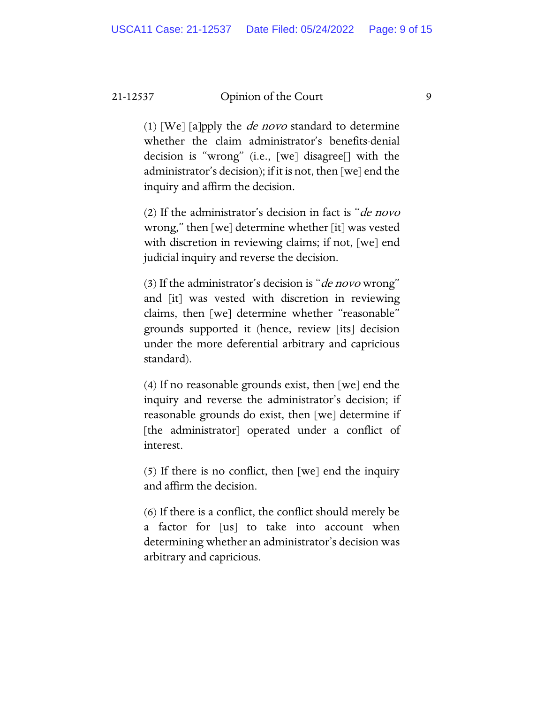(1) [We] [a]pply the *de novo* standard to determine whether the claim administrator's benefits-denial decision is "wrong" (i.e., [we] disagree[] with the administrator's decision); if it is not, then [we] end the inquiry and affirm the decision.

(2) If the administrator's decision in fact is "*de novo* wrong," then [we] determine whether [it] was vested with discretion in reviewing claims; if not, [we] end judicial inquiry and reverse the decision.

(3) If the administrator's decision is "*de novo* wrong" and [it] was vested with discretion in reviewing claims, then [we] determine whether "reasonable" grounds supported it (hence, review [its] decision under the more deferential arbitrary and capricious standard).

(4) If no reasonable grounds exist, then [we] end the inquiry and reverse the administrator's decision; if reasonable grounds do exist, then [we] determine if [the administrator] operated under a conflict of interest.

(5) If there is no conflict, then [we] end the inquiry and affirm the decision.

(6) If there is a conflict, the conflict should merely be a factor for [us] to take into account when determining whether an administrator's decision was arbitrary and capricious.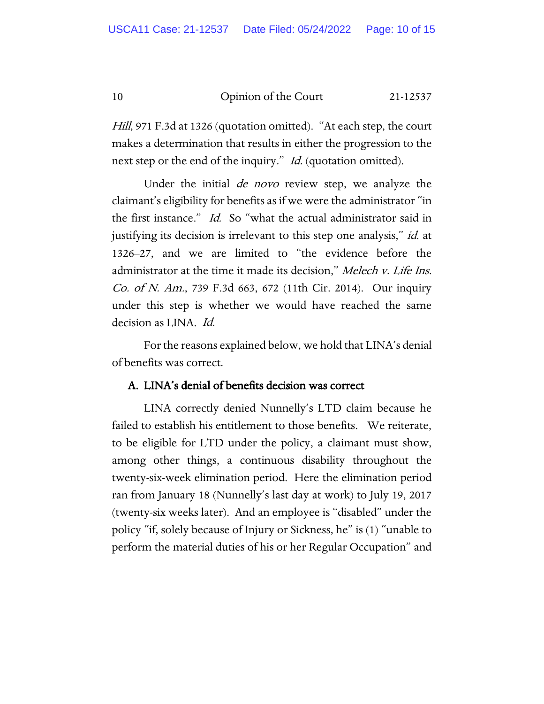*Hill*, 971 F.3d at 1326 (quotation omitted). "At each step, the court makes a determination that results in either the progression to the next step or the end of the inquiry." *Id.* (quotation omitted).

Under the initial *de novo* review step, we analyze the claimant's eligibility for benefits as if we were the administrator "in the first instance." Id. So "what the actual administrator said in justifying its decision is irrelevant to this step one analysis," *id.* at 1326–27, and we are limited to "the evidence before the administrator at the time it made its decision," Melech v. Life Ins. Co. of N. Am., 739 F.3d 663, 672 (11th Cir. 2014). Our inquiry under this step is whether we would have reached the same decision as LINA. Id.

For the reasons explained below, we hold that LINA's denial of benefits was correct.

#### A. LINA's denial of benefits decision was correct

LINA correctly denied Nunnelly's LTD claim because he failed to establish his entitlement to those benefits. We reiterate, to be eligible for LTD under the policy, a claimant must show, among other things, a continuous disability throughout the twenty-six-week elimination period. Here the elimination period ran from January 18 (Nunnelly's last day at work) to July 19, 2017 (twenty-six weeks later). And an employee is "disabled" under the policy "if, solely because of Injury or Sickness, he" is (1) "unable to perform the material duties of his or her Regular Occupation" and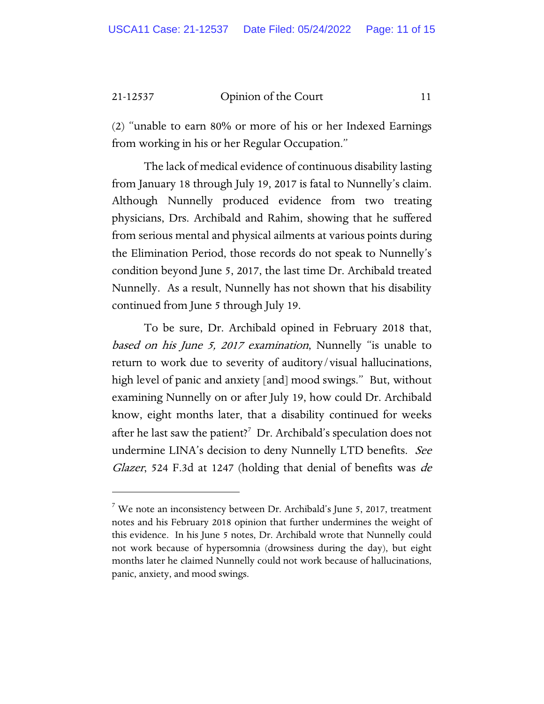(2) "unable to earn 80% or more of his or her Indexed Earnings from working in his or her Regular Occupation."

The lack of medical evidence of continuous disability lasting from January 18 through July 19, 2017 is fatal to Nunnelly's claim. Although Nunnelly produced evidence from two treating physicians, Drs. Archibald and Rahim, showing that he suffered from serious mental and physical ailments at various points during the Elimination Period, those records do not speak to Nunnelly's condition beyond June 5, 2017, the last time Dr. Archibald treated Nunnelly. As a result, Nunnelly has not shown that his disability continued from June 5 through July 19.

To be sure, Dr. Archibald opined in February 2018 that, based on his June 5, 2017 examination, Nunnelly "is unable to return to work due to severity of auditory/visual hallucinations, high level of panic and anxiety [and] mood swings." But, without examining Nunnelly on or after July 19, how could Dr. Archibald know, eight months later, that a disability continued for weeks after he last saw the patient? $^7$  $^7$  Dr. Archibald's speculation does not undermine LINA's decision to deny Nunnelly LTD benefits. See Glazer, 524 F.3d at 1247 (holding that denial of benefits was de

<span id="page-10-0"></span><sup>&</sup>lt;sup>7</sup> We note an inconsistency between Dr. Archibald's June 5, 2017, treatment notes and his February 2018 opinion that further undermines the weight of this evidence. In his June 5 notes, Dr. Archibald wrote that Nunnelly could not work because of hypersomnia (drowsiness during the day), but eight months later he claimed Nunnelly could not work because of hallucinations, panic, anxiety, and mood swings.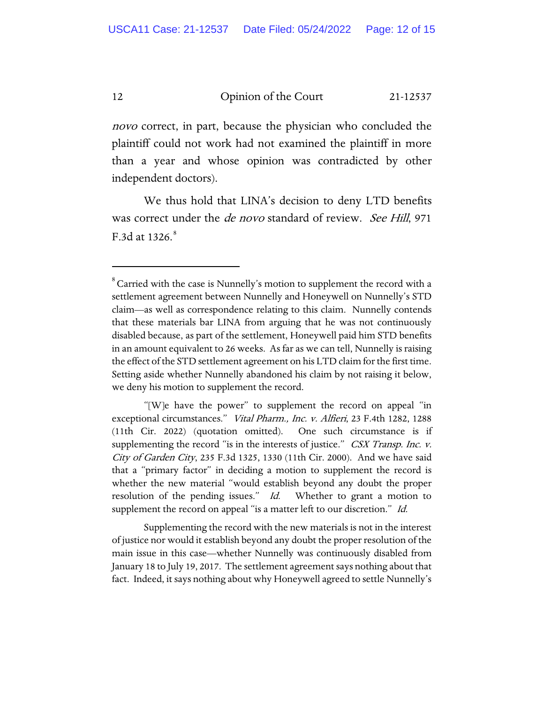novo correct, in part, because the physician who concluded the plaintiff could not work had not examined the plaintiff in more than a year and whose opinion was contradicted by other independent doctors).

We thus hold that LINA's decision to deny LTD benefits was correct under the *de novo* standard of review. *See Hill*, 971 F.3d at  $1326.8$ 

"[W]e have the power" to supplement the record on appeal "in exceptional circumstances." Vital Pharm., Inc. v. Alfieri, 23 F.4th 1282, 1288 (11th Cir. 2022) (quotation omitted). One such circumstance is if supplementing the record "is in the interests of justice." CSX Transp. Inc. v. City of Garden City, 235 F.3d 1325, 1330 (11th Cir. 2000). And we have said that a "primary factor" in deciding a motion to supplement the record is whether the new material "would establish beyond any doubt the proper resolution of the pending issues." Id. Whether to grant a motion to supplement the record on appeal "is a matter left to our discretion." Id.

Supplementing the record with the new materials is not in the interest of justice nor would it establish beyond any doubt the proper resolution of the main issue in this case—whether Nunnelly was continuously disabled from January 18 to July 19, 2017. The settlement agreement says nothing about that fact. Indeed, it says nothing about why Honeywell agreed to settle Nunnelly's

<span id="page-11-0"></span> $^8$  Carried with the case is Nunnelly's motion to supplement the record with a settlement agreement between Nunnelly and Honeywell on Nunnelly's STD claim—as well as correspondence relating to this claim. Nunnelly contends that these materials bar LINA from arguing that he was not continuously disabled because, as part of the settlement, Honeywell paid him STD benefits in an amount equivalent to 26 weeks. As far as we can tell, Nunnelly is raising the effect of the STD settlement agreement on his LTD claim for the first time. Setting aside whether Nunnelly abandoned his claim by not raising it below, we deny his motion to supplement the record.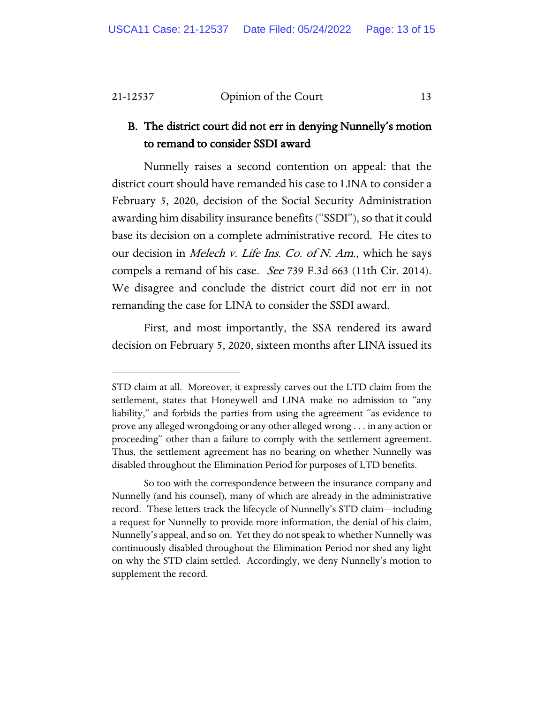## B. The district court did not err in denying Nunnelly's motion to remand to consider SSDI award

Nunnelly raises a second contention on appeal: that the district court should have remanded his case to LINA to consider a February 5, 2020, decision of the Social Security Administration awarding him disability insurance benefits ("SSDI"), so that it could base its decision on a complete administrative record. He cites to our decision in Melech v. Life Ins. Co. of N. Am., which he says compels a remand of his case. See 739 F.3d 663 (11th Cir. 2014). We disagree and conclude the district court did not err in not remanding the case for LINA to consider the SSDI award.

First, and most importantly, the SSA rendered its award decision on February 5, 2020, sixteen months after LINA issued its

STD claim at all. Moreover, it expressly carves out the LTD claim from the settlement, states that Honeywell and LINA make no admission to "any liability," and forbids the parties from using the agreement "as evidence to prove any alleged wrongdoing or any other alleged wrong . . . in any action or proceeding" other than a failure to comply with the settlement agreement. Thus, the settlement agreement has no bearing on whether Nunnelly was disabled throughout the Elimination Period for purposes of LTD benefits.

So too with the correspondence between the insurance company and Nunnelly (and his counsel), many of which are already in the administrative record. These letters track the lifecycle of Nunnelly's STD claim—including a request for Nunnelly to provide more information, the denial of his claim, Nunnelly's appeal, and so on. Yet they do not speak to whether Nunnelly was continuously disabled throughout the Elimination Period nor shed any light on why the STD claim settled. Accordingly, we deny Nunnelly's motion to supplement the record.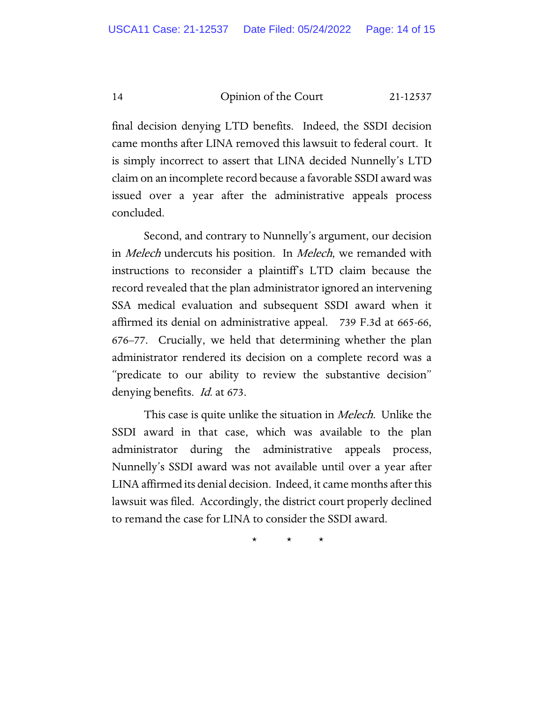final decision denying LTD benefits. Indeed, the SSDI decision came months after LINA removed this lawsuit to federal court. It is simply incorrect to assert that LINA decided Nunnelly's LTD claim on an incomplete record because a favorable SSDI award was issued over a year after the administrative appeals process concluded.

Second, and contrary to Nunnelly's argument, our decision in *Melech* undercuts his position. In *Melech*, we remanded with instructions to reconsider a plaintiff's LTD claim because the record revealed that the plan administrator ignored an intervening SSA medical evaluation and subsequent SSDI award when it affirmed its denial on administrative appeal. 739 F.3d at 665-66, 676–77. Crucially, we held that determining whether the plan administrator rendered its decision on a complete record was a "predicate to our ability to review the substantive decision" denying benefits. *Id.* at 673.

This case is quite unlike the situation in *Melech*. Unlike the SSDI award in that case, which was available to the plan administrator during the administrative appeals process, Nunnelly's SSDI award was not available until over a year after LINA affirmed its denial decision. Indeed, it came months after this lawsuit was filed. Accordingly, the district court properly declined to remand the case for LINA to consider the SSDI award.

\* \* \*